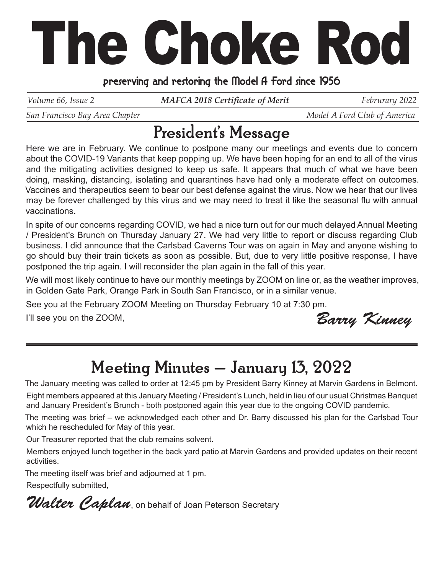## The Choke Rod

## preserving and restoring the Model A Ford since 1956

*Volume 66, Issue 2 MAFCA 2018 Certificate of Merit* Februrary 2022

*San Francisco Bay Area Chapter*  $\blacksquare$   $\blacksquare$   $\blacksquare$   $\blacksquare$   $\blacksquare$   $\blacksquare$   $\blacksquare$   $\blacksquare$   $\blacksquare$   $\blacksquare$   $\blacksquare$   $\blacksquare$   $\blacksquare$   $\blacksquare$   $\blacksquare$   $\blacksquare$   $\blacksquare$   $\blacksquare$   $\blacksquare$   $\blacksquare$   $\blacksquare$   $\blacksquare$   $\blacksquare$   $\blacksquare$   $\blacksquare$   $\blacksquare$   $\blacksquare$ 

## President's Message

Here we are in February. We continue to postpone many our meetings and events due to concern about the COVID-19 Variants that keep popping up. We have been hoping for an end to all of the virus and the mitigating activities designed to keep us safe. It appears that much of what we have been doing, masking, distancing, isolating and quarantines have had only a moderate effect on outcomes. Vaccines and therapeutics seem to bear our best defense against the virus. Now we hear that our lives may be forever challenged by this virus and we may need to treat it like the seasonal flu with annual vaccinations.

In spite of our concerns regarding COVID, we had a nice turn out for our much delayed Annual Meeting / President's Brunch on Thursday January 27. We had very little to report or discuss regarding Club business. I did announce that the Carlsbad Caverns Tour was on again in May and anyone wishing to go should buy their train tickets as soon as possible. But, due to very little positive response, I have postponed the trip again. I will reconsider the plan again in the fall of this year.

We will most likely continue to have our monthly meetings by ZOOM on line or, as the weather improves, in Golden Gate Park, Orange Park in South San Francisco, or in a similar venue.

See you at the February ZOOM Meeting on Thursday February 10 at 7:30 pm.

I'll see you on the ZOOM,

Barry Kinney

## Meeting Minutes - January 13, 2022

The January meeting was called to order at 12:45 pm by President Barry Kinney at Marvin Gardens in Belmont. Eight members appeared at this January Meeting / President's Lunch, held in lieu of our usual Christmas Banquet and January President's Brunch - both postponed again this year due to the ongoing COVID pandemic.

The meeting was brief – we acknowledged each other and Dr. Barry discussed his plan for the Carlsbad Tour which he rescheduled for May of this year.

Our Treasurer reported that the club remains solvent.

Members enjoyed lunch together in the back yard patio at Marvin Gardens and provided updates on their recent activities.

The meeting itself was brief and adjourned at 1 pm.

Respectfully submitted,

Walter Caplan, on behalf of Joan Peterson Secretary